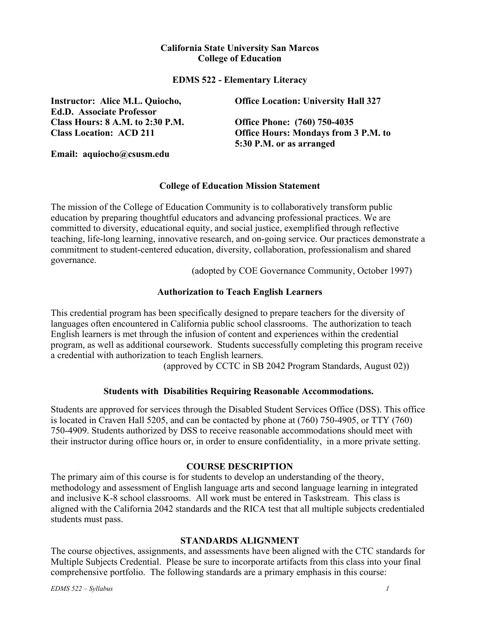#### **California State University San Marcos College of Education**

#### **EDMS 522 - Elementary Literacy**

**Instructor: Alice M.L. Quiocho, Ed.D. Associate Professor Class Hours: 8 A.M. to 2:30 P.M. Office Phone: (760) 750-4035** 

**Office Location: University Hall 327** 

**Class Location: ACD 211 Office Hours: Mondays from 3 P.M. to 5:30 P.M. or as arranged** 

**Email: aquiocho@csusm.edu** 

### **College of Education Mission Statement**

The mission of the College of Education Community is to collaboratively transform public education by preparing thoughtful educators and advancing professional practices. We are committed to diversity, educational equity, and social justice, exemplified through reflective teaching, life-long learning, innovative research, and on-going service. Our practices demonstrate a commitment to student-centered education, diversity, collaboration, professionalism and shared governance.

(adopted by COE Governance Community, October 1997)

### **Authorization to Teach English Learners**

This credential program has been specifically designed to prepare teachers for the diversity of languages often encountered in California public school classrooms. The authorization to teach English learners is met through the infusion of content and experiences within the credential program, as well as additional coursework. Students successfully completing this program receive a credential with authorization to teach English learners.

(approved by CCTC in SB 2042 Program Standards, August 02))

### **Students with Disabilities Requiring Reasonable Accommodations.**

Students are approved for services through the Disabled Student Services Office (DSS). This office is located in Craven Hall 5205, and can be contacted by phone at (760) 750-4905, or TTY (760) 750-4909. Students authorized by DSS to receive reasonable accommodations should meet with their instructor during office hours or, in order to ensure confidentiality, in a more private setting.

### **COURSE DESCRIPTION**

The primary aim of this course is for students to develop an understanding of the theory, methodology and assessment of English language arts and second language learning in integrated and inclusive K-8 school classrooms. All work must be entered in Taskstream. This class is aligned with the California 2042 standards and the RICA test that all multiple subjects credentialed students must pass.

#### **STANDARDS ALIGNMENT**

The course objectives, assignments, and assessments have been aligned with the CTC standards for Multiple Subjects Credential. Please be sure to incorporate artifacts from this class into your final comprehensive portfolio. The following standards are a primary emphasis in this course: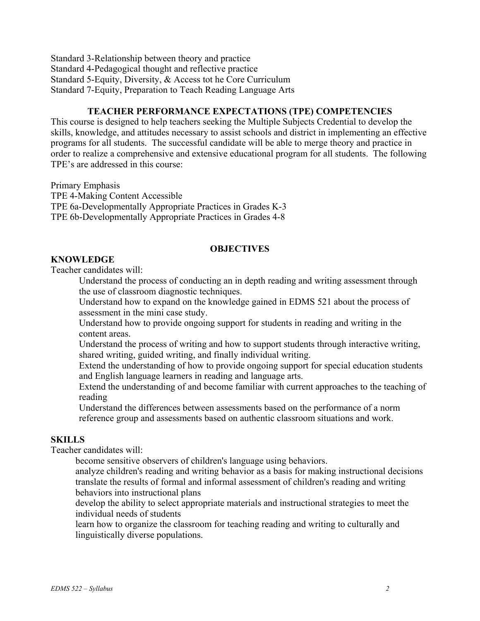Standard 3-Relationship between theory and practice Standard 4-Pedagogical thought and reflective practice Standard 5-Equity, Diversity, & Access tot he Core Curriculum Standard 7-Equity, Preparation to Teach Reading Language Arts

#### **TEACHER PERFORMANCE EXPECTATIONS (TPE) COMPETENCIES**

This course is designed to help teachers seeking the Multiple Subjects Credential to develop the skills, knowledge, and attitudes necessary to assist schools and district in implementing an effective programs for all students. The successful candidate will be able to merge theory and practice in order to realize a comprehensive and extensive educational program for all students. The following TPE's are addressed in this course:

Primary Emphasis TPE 4-Making Content Accessible TPE 6a-Developmentally Appropriate Practices in Grades K-3 TPE 6b-Developmentally Appropriate Practices in Grades 4-8

#### **OBJECTIVES**

### **KNOWLEDGE**

Teacher candidates will:

Understand the process of conducting an in depth reading and writing assessment through the use of classroom diagnostic techniques.

Understand how to expand on the knowledge gained in EDMS 521 about the process of assessment in the mini case study.

Understand how to provide ongoing support for students in reading and writing in the content areas.

Understand the process of writing and how to support students through interactive writing, shared writing, guided writing, and finally individual writing.

Extend the understanding of how to provide ongoing support for special education students and English language learners in reading and language arts.

Extend the understanding of and become familiar with current approaches to the teaching of reading

Understand the differences between assessments based on the performance of a norm reference group and assessments based on authentic classroom situations and work.

### **SKILLS**

Teacher candidates will:

become sensitive observers of children's language using behaviors.

analyze children's reading and writing behavior as a basis for making instructional decisions translate the results of formal and informal assessment of children's reading and writing behaviors into instructional plans

develop the ability to select appropriate materials and instructional strategies to meet the individual needs of students

learn how to organize the classroom for teaching reading and writing to culturally and linguistically diverse populations.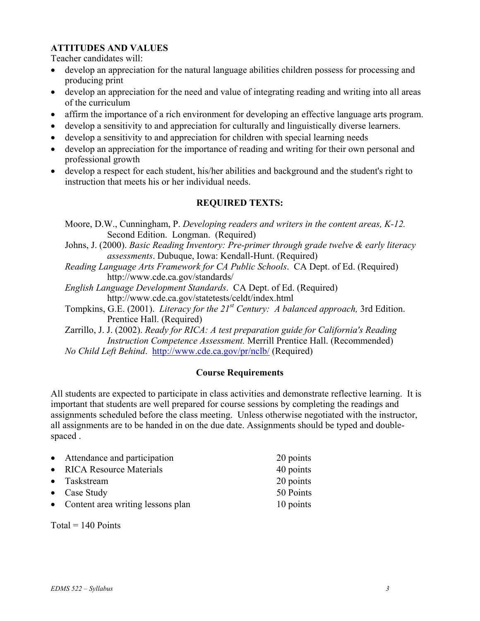### **ATTITUDES AND VALUES**

Teacher candidates will:

- develop an appreciation for the natural language abilities children possess for processing and producing print
- develop an appreciation for the need and value of integrating reading and writing into all areas of the curriculum
- affirm the importance of a rich environment for developing an effective language arts program.
- develop a sensitivity to and appreciation for culturally and linguistically diverse learners.
- develop a sensitivity to and appreciation for children with special learning needs
- develop an appreciation for the importance of reading and writing for their own personal and professional growth
- develop a respect for each student, his/her abilities and background and the student's right to instruction that meets his or her individual needs.

# **REQUIRED TEXTS:**

Moore, D.W., Cunningham, P. *Developing readers and writers in the content areas, K-12.*  Second Edition. Longman. (Required)

Johns, J. (2000). *Basic Reading Inventory: Pre-primer through grade twelve & early literacy assessments*. Dubuque, Iowa: Kendall-Hunt. (Required)

- *Reading Language Arts Framework for CA Public Schools*. CA Dept. of Ed. (Required) http://www.cde.ca.gov/standards/
- *English Language Development Standards*. CA Dept. of Ed. (Required) http://www.cde.ca.gov/statetests/celdt/index.html
- Tompkins, G.E. (2001). *Literacy for the 21<sup>st</sup> Century: A balanced approach*, 3rd Edition. Prentice Hall. (Required)
- Zarrillo, J. J. (2002). *Ready for RICA: A test preparation guide for California's Reading Instruction Competence Assessment.* Merrill Prentice Hall. (Recommended)

# *No Child Left Behind*. http://www.cde.ca.gov/pr/nclb/ (Required)

### **Course Requirements**

All students are expected to participate in class activities and demonstrate reflective learning. It is important that students are well prepared for course sessions by completing the readings and assignments scheduled before the class meeting. Unless otherwise negotiated with the instructor, all assignments are to be handed in on the due date. Assignments should be typed and doublespaced .

| • Attendance and participation      | 20 points |
|-------------------------------------|-----------|
| • RICA Resource Materials           | 40 points |
| • Taskstream                        | 20 points |
| $\bullet$ Case Study                | 50 Points |
| • Content area writing lessons plan | 10 points |
|                                     |           |

 $Total = 140$  Points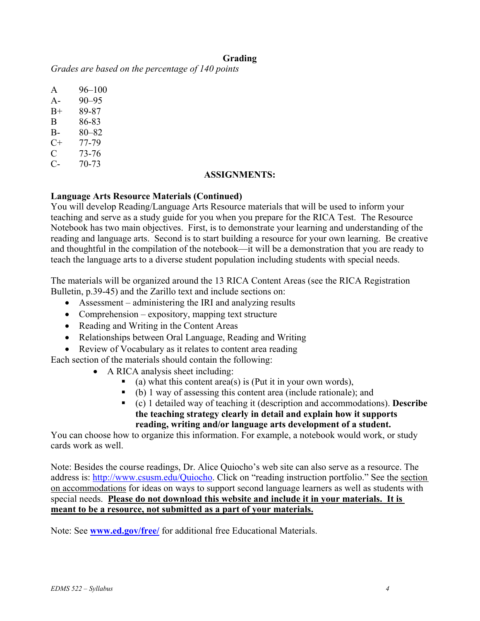### **Grading**

*Grades are based on the percentage of 140 points* 

| A         | $96 - 100$ |
|-----------|------------|
| $A -$     | $90 - 95$  |
| B+        | 89-87      |
| B         | 86-83      |
| B-        | $80 - 82$  |
| $C_{\pm}$ | 77-79      |
| C         | 73-76      |

C- 70-73

#### **ASSIGNMENTS:**

### **Language Arts Resource Materials (Continued)**

You will develop Reading/Language Arts Resource materials that will be used to inform your teaching and serve as a study guide for you when you prepare for the RICA Test. The Resource Notebook has two main objectives. First, is to demonstrate your learning and understanding of the reading and language arts. Second is to start building a resource for your own learning. Be creative and thoughtful in the compilation of the notebook—it will be a demonstration that you are ready to teach the language arts to a diverse student population including students with special needs.

The materials will be organized around the 13 RICA Content Areas (see the RICA Registration Bulletin, p.39-45) and the Zarillo text and include sections on:

- Assessment administering the IRI and analyzing results
- Comprehension expository, mapping text structure
- Reading and Writing in the Content Areas
- Relationships between Oral Language, Reading and Writing
- Review of Vocabulary as it relates to content area reading
- Each section of the materials should contain the following:
	- A RICA analysis sheet including:
		- (a) what this content area(s) is (Put it in your own words),
		- (b) 1 way of assessing this content area (include rationale); and
		- (c) 1 detailed way of teaching it (description and accommodations). **Describe the teaching strategy clearly in detail and explain how it supports reading, writing and/or language arts development of a student.**

You can choose how to organize this information. For example, a notebook would work, or study cards work as well.

Note: Besides the course readings, Dr. Alice Quiocho's web site can also serve as a resource. The address is: http://www.csusm.edu/Quiocho. Click on "reading instruction portfolio." See the section on accommodations for ideas on ways to support second language learners as well as students with special needs. **Please do not download this website and include it in your materials. It is meant to be a resource, not submitted as a part of your materials.**

Note: See **www.ed.gov/free/** for additional free Educational Materials.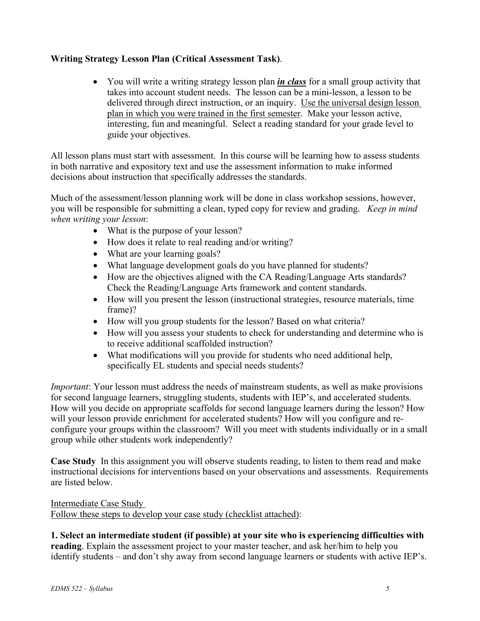### **Writing Strategy Lesson Plan (Critical Assessment Task)**.

• You will write a writing strategy lesson plan *in class* for a small group activity that takes into account student needs. The lesson can be a mini-lesson, a lesson to be delivered through direct instruction, or an inquiry. Use the universal design lesson plan in which you were trained in the first semester. Make your lesson active, interesting, fun and meaningful. Select a reading standard for your grade level to guide your objectives.

All lesson plans must start with assessment. In this course will be learning how to assess students in both narrative and expository text and use the assessment information to make informed decisions about instruction that specifically addresses the standards.

Much of the assessment/lesson planning work will be done in class workshop sessions, however, you will be responsible for submitting a clean, typed copy for review and grading. *Keep in mind when writing your lesson*:

- What is the purpose of your lesson?
- How does it relate to real reading and/or writing?
- What are your learning goals?
- What language development goals do you have planned for students?
- How are the objectives aligned with the CA Reading/Language Arts standards? Check the Reading/Language Arts framework and content standards.
- How will you present the lesson (instructional strategies, resource materials, time frame)?
- How will you group students for the lesson? Based on what criteria?
- How will you assess your students to check for understanding and determine who is to receive additional scaffolded instruction?
- What modifications will you provide for students who need additional help, specifically EL students and special needs students?

*Important*: Your lesson must address the needs of mainstream students, as well as make provisions for second language learners, struggling students, students with IEP's, and accelerated students. How will you decide on appropriate scaffolds for second language learners during the lesson? How will your lesson provide enrichment for accelerated students? How will you configure and reconfigure your groups within the classroom? Will you meet with students individually or in a small group while other students work independently?

**Case Study** In this assignment you will observe students reading, to listen to them read and make instructional decisions for interventions based on your observations and assessments. Requirements are listed below.

#### Intermediate Case Study

Follow these steps to develop your case study (checklist attached):

#### **1. Select an intermediate student (if possible) at your site who is experiencing difficulties with reading**. Explain the assessment project to your master teacher, and ask her/him to help you identify students – and don't shy away from second language learners or students with active IEP's.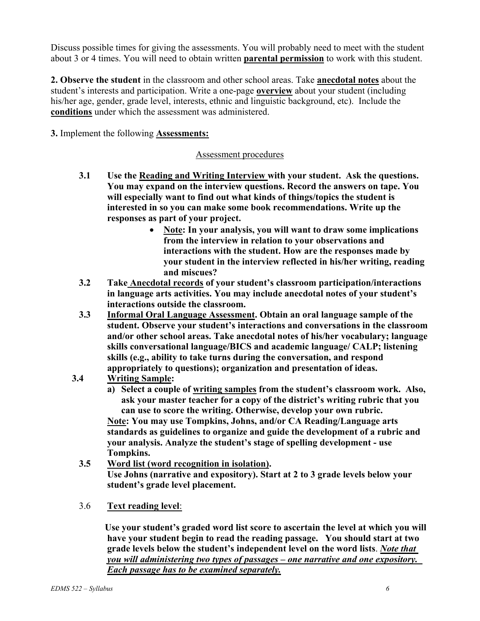Discuss possible times for giving the assessments. You will probably need to meet with the student about 3 or 4 times. You will need to obtain written **parental permission** to work with this student.

**2. Observe the student** in the classroom and other school areas. Take **anecdotal notes** about the student's interests and participation. Write a one-page **overview** about your student (including his/her age, gender, grade level, interests, ethnic and linguistic background, etc). Include the **conditions** under which the assessment was administered.

**3.** Implement the following **Assessments:**

### Assessment procedures

- **3.1 Use the Reading and Writing Interview with your student. Ask the questions. You may expand on the interview questions. Record the answers on tape. You will especially want to find out what kinds of things/topics the student is interested in so you can make some book recommendations. Write up the responses as part of your project.** 
	- **Note: In your analysis, you will want to draw some implications from the interview in relation to your observations and interactions with the student. How are the responses made by your student in the interview reflected in his/her writing, reading and miscues?**
- **3.2 Take Anecdotal records of your student's classroom participation/interactions in language arts activities. You may include anecdotal notes of your student's interactions outside the classroom.**
- **3.3 Informal Oral Language Assessment. Obtain an oral language sample of the student. Observe your student's interactions and conversations in the classroom and/or other school areas. Take anecdotal notes of his/her vocabulary; language skills conversational language/BICS and academic language/ CALP; listening skills (e.g., ability to take turns during the conversation, and respond appropriately to questions); organization and presentation of ideas.**

# **3.4 Writing Sample:**

- **a) Select a couple of writing samples from the student's classroom work. Also, ask your master teacher for a copy of the district's writing rubric that you can use to score the writing. Otherwise, develop your own rubric. Note: You may use Tompkins, Johns, and/or CA Reading/Language arts standards as guidelines to organize and guide the development of a rubric and your analysis. Analyze the student's stage of spelling development - use Tompkins.**
- **3.5 Word list (word recognition in isolation). Use Johns (narrative and expository). Start at 2 to 3 grade levels below your student's grade level placement.**
- 3.6 **Text reading level**:

 **Use your student's graded word list score to ascertain the level at which you will have your student begin to read the reading passage. You should start at two grade levels below the student's independent level on the word lists**. *Note that you will administering two types of passages – one narrative and one expository. Each passage has to be examined separately.*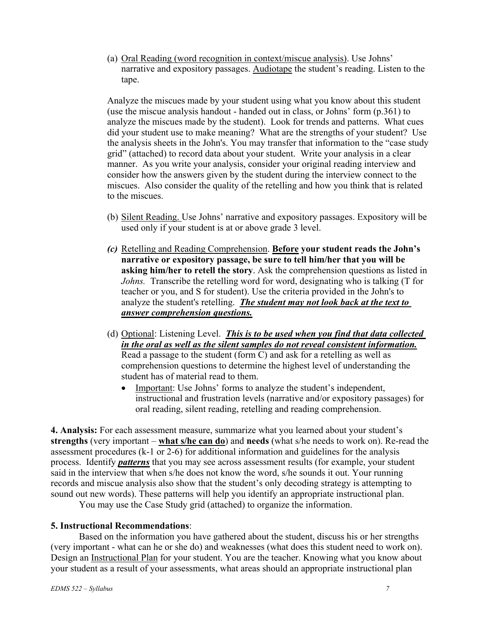(a) Oral Reading (word recognition in context/miscue analysis). Use Johns' narrative and expository passages. Audiotape the student's reading. Listen to the tape.

 Analyze the miscues made by your student using what you know about this student (use the miscue analysis handout - handed out in class, or Johns' form (p.361) to analyze the miscues made by the student). Look for trends and patterns. What cues did your student use to make meaning? What are the strengths of your student? Use the analysis sheets in the John's. You may transfer that information to the "case study grid" (attached) to record data about your student. Write your analysis in a clear manner. As you write your analysis, consider your original reading interview and consider how the answers given by the student during the interview connect to the miscues. Also consider the quality of the retelling and how you think that is related to the miscues.

- (b) Silent Reading. Use Johns' narrative and expository passages. Expository will be used only if your student is at or above grade 3 level.
- *(c)* Retelling and Reading Comprehension. **Before your student reads the John's narrative or expository passage, be sure to tell him/her that you will be asking him/her to retell the story**. Ask the comprehension questions as listed in *Johns.* Transcribe the retelling word for word, designating who is talking (T for teacher or you, and S for student). Use the criteria provided in the John's to analyze the student's retelling. *The student may not look back at the text to answer comprehension questions.*
- (d) Optional: Listening Level. *This is to be used when you find that data collected in the oral as well as the silent samples do not reveal consistent information.* Read a passage to the student (form C) and ask for a retelling as well as comprehension questions to determine the highest level of understanding the student has of material read to them.
	- Important: Use Johns' forms to analyze the student's independent, instructional and frustration levels (narrative and/or expository passages) for oral reading, silent reading, retelling and reading comprehension.

**4. Analysis:** For each assessment measure, summarize what you learned about your student's **strengths** (very important – **what s/he can do**) and **needs** (what s/he needs to work on). Re-read the assessment procedures (k-1 or 2-6) for additional information and guidelines for the analysis process. Identify *patterns* that you may see across assessment results (for example, your student said in the interview that when s/he does not know the word, s/he sounds it out. Your running records and miscue analysis also show that the student's only decoding strategy is attempting to sound out new words). These patterns will help you identify an appropriate instructional plan.

You may use the Case Study grid (attached) to organize the information.

#### **5. Instructional Recommendations**:

Based on the information you have gathered about the student, discuss his or her strengths (very important - what can he or she do) and weaknesses (what does this student need to work on). Design an Instructional Plan for your student. You are the teacher. Knowing what you know about your student as a result of your assessments, what areas should an appropriate instructional plan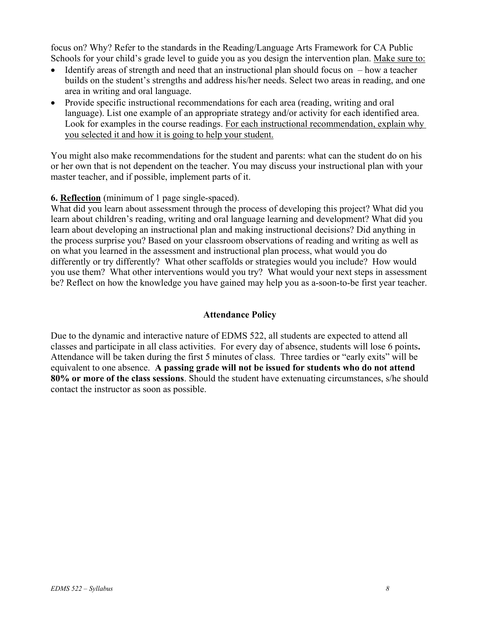focus on? Why? Refer to the standards in the Reading/Language Arts Framework for CA Public Schools for your child's grade level to guide you as you design the intervention plan. Make sure to:

- Identify areas of strength and need that an instructional plan should focus on  $-$  how a teacher builds on the student's strengths and address his/her needs. Select two areas in reading, and one area in writing and oral language.
- Provide specific instructional recommendations for each area (reading, writing and oral language). List one example of an appropriate strategy and/or activity for each identified area. Look for examples in the course readings. For each instructional recommendation, explain why you selected it and how it is going to help your student.

You might also make recommendations for the student and parents: what can the student do on his or her own that is not dependent on the teacher. You may discuss your instructional plan with your master teacher, and if possible, implement parts of it.

### **6. Reflection** (minimum of 1 page single-spaced).

What did you learn about assessment through the process of developing this project? What did you learn about children's reading, writing and oral language learning and development? What did you learn about developing an instructional plan and making instructional decisions? Did anything in the process surprise you? Based on your classroom observations of reading and writing as well as on what you learned in the assessment and instructional plan process, what would you do differently or try differently? What other scaffolds or strategies would you include? How would you use them? What other interventions would you try? What would your next steps in assessment be? Reflect on how the knowledge you have gained may help you as a-soon-to-be first year teacher.

#### **Attendance Policy**

Due to the dynamic and interactive nature of EDMS 522, all students are expected to attend all classes and participate in all class activities. For every day of absence, students will lose 6 points**.**  Attendance will be taken during the first 5 minutes of class. Three tardies or "early exits" will be equivalent to one absence. **A passing grade will not be issued for students who do not attend 80% or more of the class sessions**. Should the student have extenuating circumstances, s/he should contact the instructor as soon as possible.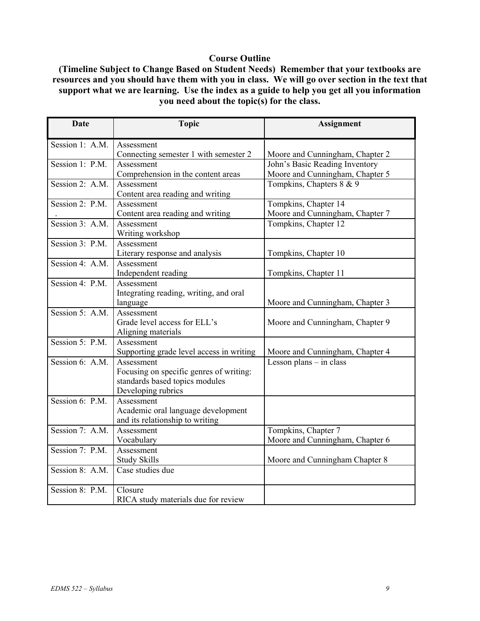### **Course Outline**

**(Timeline Subject to Change Based on Student Needs) Remember that your textbooks are resources and you should have them with you in class. We will go over section in the text that support what we are learning. Use the index as a guide to help you get all you information you need about the topic(s) for the class.** 

| <b>Date</b>                  | <b>Topic</b>                                        | <b>Assignment</b>               |
|------------------------------|-----------------------------------------------------|---------------------------------|
|                              |                                                     |                                 |
| Session 1: A.M.              | Assessment<br>Connecting semester 1 with semester 2 | Moore and Cunningham, Chapter 2 |
| Session 1: P.M.              | Assessment                                          | John's Basic Reading Inventory  |
|                              | Comprehension in the content areas                  | Moore and Cunningham, Chapter 5 |
| Session 2: A.M.              | Assessment                                          | Tompkins, Chapters 8 & 9        |
|                              | Content area reading and writing                    |                                 |
| Session 2: $\overline{P.M.}$ | Assessment                                          | Tompkins, Chapter 14            |
|                              | Content area reading and writing                    | Moore and Cunningham, Chapter 7 |
| Session 3: A.M.              | Assessment                                          | Tompkins, Chapter 12            |
|                              | Writing workshop                                    |                                 |
| Session $3:$ P.M.            | Assessment                                          |                                 |
|                              | Literary response and analysis                      | Tompkins, Chapter 10            |
| Session 4: A.M.              | Assessment                                          |                                 |
|                              | Independent reading                                 | Tompkins, Chapter 11            |
| Session 4: P.M.              | Assessment                                          |                                 |
|                              | Integrating reading, writing, and oral              |                                 |
|                              | language                                            | Moore and Cunningham, Chapter 3 |
| Session 5: A.M.              | Assessment                                          |                                 |
|                              | Grade level access for ELL's                        | Moore and Cunningham, Chapter 9 |
|                              | Aligning materials                                  |                                 |
| Session 5: P.M.              | Assessment                                          |                                 |
|                              | Supporting grade level access in writing            | Moore and Cunningham, Chapter 4 |
| Session 6: A.M.              | Assessment                                          | Lesson plans $-$ in class       |
|                              | Focusing on specific genres of writing:             |                                 |
|                              | standards based topics modules                      |                                 |
|                              | Developing rubrics                                  |                                 |
| Session 6: P.M.              | Assessment                                          |                                 |
|                              | Academic oral language development                  |                                 |
| Session 7: A.M.              | and its relationship to writing                     |                                 |
|                              | Assessment                                          | Tompkins, Chapter 7             |
| Session 7: P.M.              | Vocabulary                                          | Moore and Cunningham, Chapter 6 |
|                              | Assessment                                          |                                 |
| Session 8: A.M.              | <b>Study Skills</b>                                 | Moore and Cunningham Chapter 8  |
|                              | Case studies due                                    |                                 |
| Session 8: P.M.              | Closure                                             |                                 |
|                              | RICA study materials due for review                 |                                 |